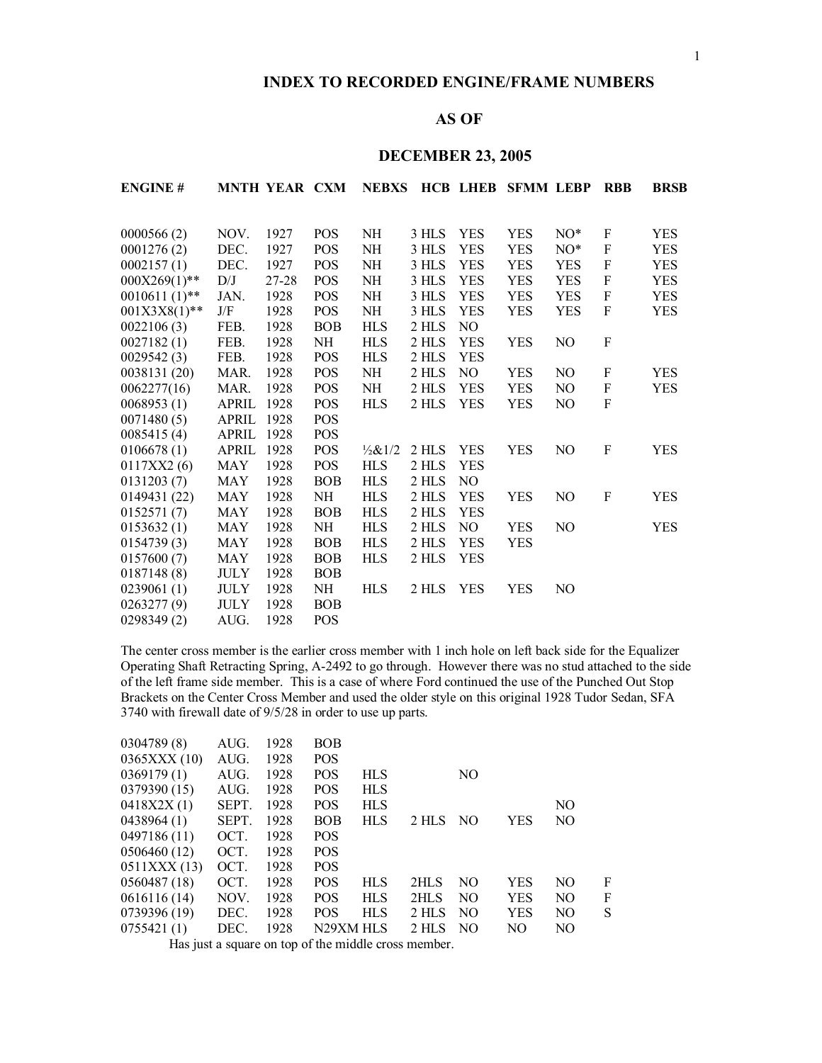## **INDEX TO RECORDED ENGINE/FRAME NUMBERS**

# **AS OF**

# **DECEMBER 23, 2005**

| <b>ENGINE#</b>  |                         | <b>MNTH YEAR CXM</b> |            | <b>NEBXS</b>      |       |                | <b>HCB LHEB SFMM LEBP</b> |            | <b>RBB</b>                | <b>BRSB</b> |
|-----------------|-------------------------|----------------------|------------|-------------------|-------|----------------|---------------------------|------------|---------------------------|-------------|
|                 |                         |                      |            |                   |       |                |                           |            |                           |             |
| 0000566(2)      | NOV.                    | 1927                 | <b>POS</b> | NH                | 3 HLS | <b>YES</b>     | <b>YES</b>                | $NO^*$     | $\boldsymbol{\mathrm{F}}$ | <b>YES</b>  |
| 0001276(2)      | DEC.                    | 1927                 | POS        | NH                | 3 HLS | <b>YES</b>     | <b>YES</b>                | $NO^*$     | ${\bf F}$                 | YES         |
| 0002157(1)      | DEC.                    | 1927                 | POS        | NH                | 3 HLS | <b>YES</b>     | <b>YES</b>                | <b>YES</b> | ${\bf F}$                 | <b>YES</b>  |
| $000X269(1)$ ** | D/J                     | 27-28                | <b>POS</b> | NH                | 3 HLS | <b>YES</b>     | <b>YES</b>                | <b>YES</b> | $\boldsymbol{F}$          | YES         |
| $0010611(1)$ ** | JAN.                    | 1928                 | POS        | NH                | 3 HLS | <b>YES</b>     | <b>YES</b>                | <b>YES</b> | $\boldsymbol{\mathrm{F}}$ | YES         |
| $001X3X8(1)$ ** | $\mathrm{J}/\mathrm{F}$ | 1928                 | <b>POS</b> | NH                | 3 HLS | <b>YES</b>     | <b>YES</b>                | <b>YES</b> | $\boldsymbol{F}$          | <b>YES</b>  |
| 0022106(3)      | FEB.                    | 1928                 | <b>BOB</b> | <b>HLS</b>        | 2 HLS | N <sub>O</sub> |                           |            |                           |             |
| 0027182(1)      | FEB.                    | 1928                 | NH         | <b>HLS</b>        | 2 HLS | <b>YES</b>     | <b>YES</b>                | NO.        | F                         |             |
| 0029542(3)      | FEB.                    | 1928                 | <b>POS</b> | <b>HLS</b>        | 2 HLS | <b>YES</b>     |                           |            |                           |             |
| 0038131 (20)    | MAR.                    | 1928                 | <b>POS</b> | NH                | 2 HLS | NO             | <b>YES</b>                | NO         | $\boldsymbol{\mathrm{F}}$ | YES         |
| 0062277(16)     | MAR.                    | 1928                 | <b>POS</b> | NH                | 2 HLS | <b>YES</b>     | <b>YES</b>                | NO.        | $\mathbf F$               | <b>YES</b>  |
| 0068953(1)      | <b>APRIL</b>            | 1928                 | POS        | <b>HLS</b>        | 2 HLS | <b>YES</b>     | <b>YES</b>                | NO         | $\boldsymbol{\mathrm{F}}$ |             |
| 0071480(5)      | APRIL                   | 1928                 | POS        |                   |       |                |                           |            |                           |             |
| 0085415(4)      | <b>APRIL</b>            | 1928                 | <b>POS</b> |                   |       |                |                           |            |                           |             |
| 0106678(1)      | <b>APRIL</b>            | 1928                 | POS        | $\frac{1}{2}81/2$ | 2 HLS | <b>YES</b>     | <b>YES</b>                | NO         | F                         | YES         |
| 0117XX2(6)      | MAY                     | 1928                 | <b>POS</b> | <b>HLS</b>        | 2 HLS | <b>YES</b>     |                           |            |                           |             |
| 0131203(7)      | MAY                     | 1928                 | <b>BOB</b> | <b>HLS</b>        | 2 HLS | NO.            |                           |            |                           |             |
| 0149431 (22)    | <b>MAY</b>              | 1928                 | NH         | <b>HLS</b>        | 2 HLS | <b>YES</b>     | <b>YES</b>                | NO         | F                         | <b>YES</b>  |
| 0152571(7)      | MAY                     | 1928                 | <b>BOB</b> | <b>HLS</b>        | 2 HLS | <b>YES</b>     |                           |            |                           |             |
| 0153632(1)      | <b>MAY</b>              | 1928                 | NH         | <b>HLS</b>        | 2 HLS | NO.            | <b>YES</b>                | NO.        |                           | <b>YES</b>  |
| 0154739(3)      | MAY                     | 1928                 | <b>BOB</b> | <b>HLS</b>        | 2 HLS | <b>YES</b>     | <b>YES</b>                |            |                           |             |
| 0157600(7)      | MAY                     | 1928                 | <b>BOB</b> | <b>HLS</b>        | 2 HLS | <b>YES</b>     |                           |            |                           |             |
| 0187148(8)      | <b>JULY</b>             | 1928                 | <b>BOB</b> |                   |       |                |                           |            |                           |             |
| 0239061(1)      | <b>JULY</b>             | 1928                 | NH         | <b>HLS</b>        | 2 HLS | YES            | <b>YES</b>                | NO         |                           |             |
| 0263277(9)      | JULY                    | 1928                 | <b>BOB</b> |                   |       |                |                           |            |                           |             |
| 0298349(2)      | AUG.                    | 1928                 | <b>POS</b> |                   |       |                |                           |            |                           |             |

The center cross member is the earlier cross member with 1 inch hole on left back side for the Equalizer Operating Shaft Retracting Spring, A-2492 to go through. However there was no stud attached to the side of the left frame side member. This is a case of where Ford continued the use of the Punched Out Stop Brackets on the Center Cross Member and used the older style on this original 1928 Tudor Sedan, SFA with firewall date of 9/5/28 in order to use up parts.

| AUG.  | 1928         | <b>BOB</b>   |                          |                         |     |             |     |   |
|-------|--------------|--------------|--------------------------|-------------------------|-----|-------------|-----|---|
|       |              |              |                          |                         |     |             |     |   |
| AUG.  | 1928         | <b>POS</b>   | <b>HLS</b>               |                         |     |             |     |   |
| SEPT. | 1928         | <b>POS</b>   | <b>HLS</b>               |                         |     |             | NO. |   |
| SEPT. | 1928         | <b>BOB</b>   | <b>HLS</b>               | 2 HLS                   |     | YES         | NO  |   |
| OCT.  | 1928         | <b>POS</b>   |                          |                         |     |             |     |   |
| OCT.  | 1928         | <b>POS</b>   |                          |                         |     |             |     |   |
| OCT.  | 1928         | <b>POS</b>   |                          |                         |     |             |     |   |
| OCT.  | 1928         | <b>POS</b>   | <b>HLS</b>               | 2HLS                    | NO. | YES         | NO. | F |
| NOV.  | 1928         | <b>POS</b>   | <b>HLS</b>               | 2HLS                    | NO. | YES         | NO. | F |
| DEC.  | 1928         | <b>POS</b>   | <b>HLS</b>               | 2 HLS                   | NO. | YES         | NO. | S |
| DEC.  | 1928         |              |                          | $2$ HLS                 | NO. | NO          | NO  |   |
|       | AUG.<br>AUG. | 1928<br>1928 | <b>POS</b><br><b>POS</b> | <b>HLS</b><br>N29XM HLS |     | NO.<br>- NO |     |   |

Has just a square on top of the middle cross member.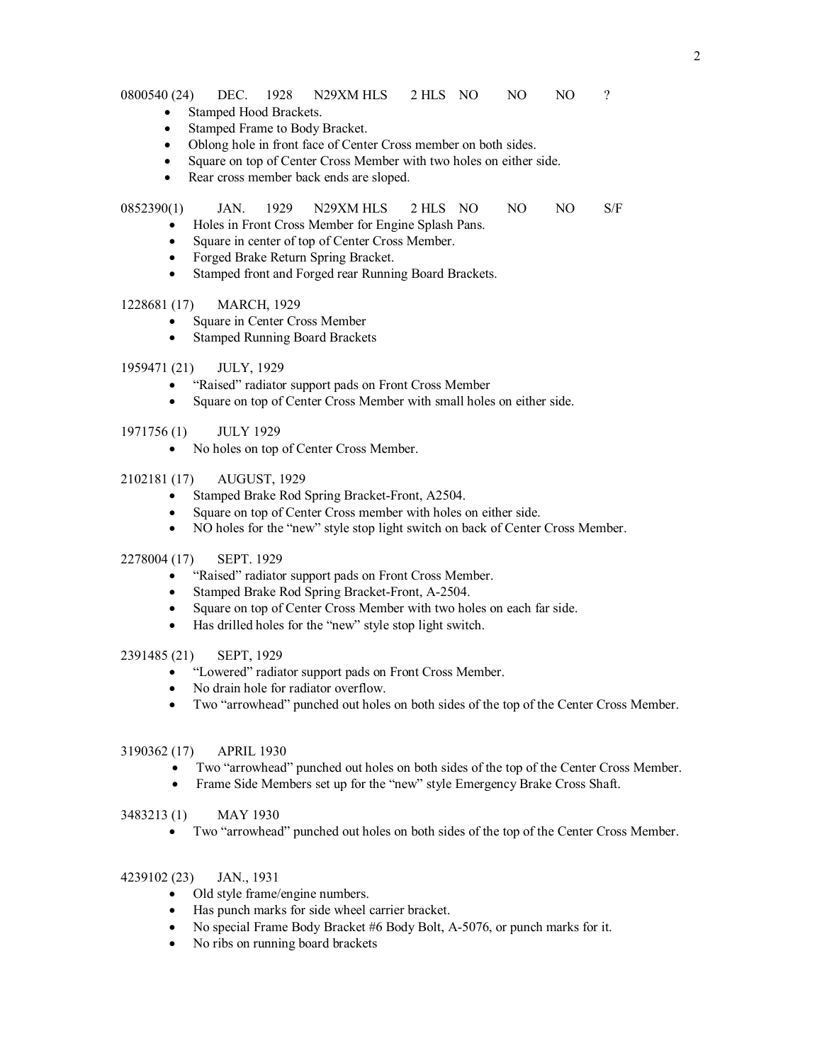0800540 (24) DEC. 1928 N29XM HLS 2 HLS NO NO NO ?

- Stamped Hood Brackets.
- · Stamped Frame to Body Bracket.
- · Oblong hole in front face of Center Cross member on both sides.
- Square on top of Center Cross Member with two holes on either side.
- Rear cross member back ends are sloped.

## 0852390(1) JAN. 1929 N29XM HLS 2 HLS NO NO NO S/F

- · Holes in Front Cross Member for Engine Splash Pans.
- Square in center of top of Center Cross Member.
- · Forged Brake Return Spring Bracket.
- · Stamped front and Forged rear Running Board Brackets.

#### 1228681 (17) MARCH, 1929

- Square in Center Cross Member
- Stamped Running Board Brackets

## 1959471 (21) JULY, 1929

- · "Raised" radiator support pads on Front Cross Member
- · Square on top of Center Cross Member with small holes on either side.

#### 1971756 (1) JULY 1929

· No holes on top of Center Cross Member.

## 2102181 (17) AUGUST, 1929

- Stamped Brake Rod Spring Bracket-Front, A2504.
- · Square on top of Center Cross member with holes on either side.
- · NO holes for the "new" style stop light switch on back of Center Cross Member.
- 2278004 (17) SEPT. 1929
	- · "Raised" radiator support pads on Front Cross Member.
	- Stamped Brake Rod Spring Bracket-Front, A-2504.
	- · Square on top of Center Cross Member with two holes on each far side.
	- · Has drilled holes for the "new" style stop light switch.

#### 2391485 (21) SEPT, 1929

- · "Lowered" radiator support pads on Front Cross Member.
- · No drain hole for radiator overflow.
- · Two "arrowhead" punched out holes on both sides of the top of the Center Cross Member.

#### 3190362 (17) APRIL 1930

- Two "arrowhead" punched out holes on both sides of the top of the Center Cross Member.
- Frame Side Members set up for the "new" style Emergency Brake Cross Shaft.

#### 3483213 (1) MAY 1930

· Two "arrowhead" punched out holes on both sides of the top of the Center Cross Member.

### 4239102 (23) JAN., 1931

- · Old style frame/engine numbers.
- Has punch marks for side wheel carrier bracket.
- · No special Frame Body Bracket #6 Body Bolt, A-5076, or punch marks for it.
- No ribs on running board brackets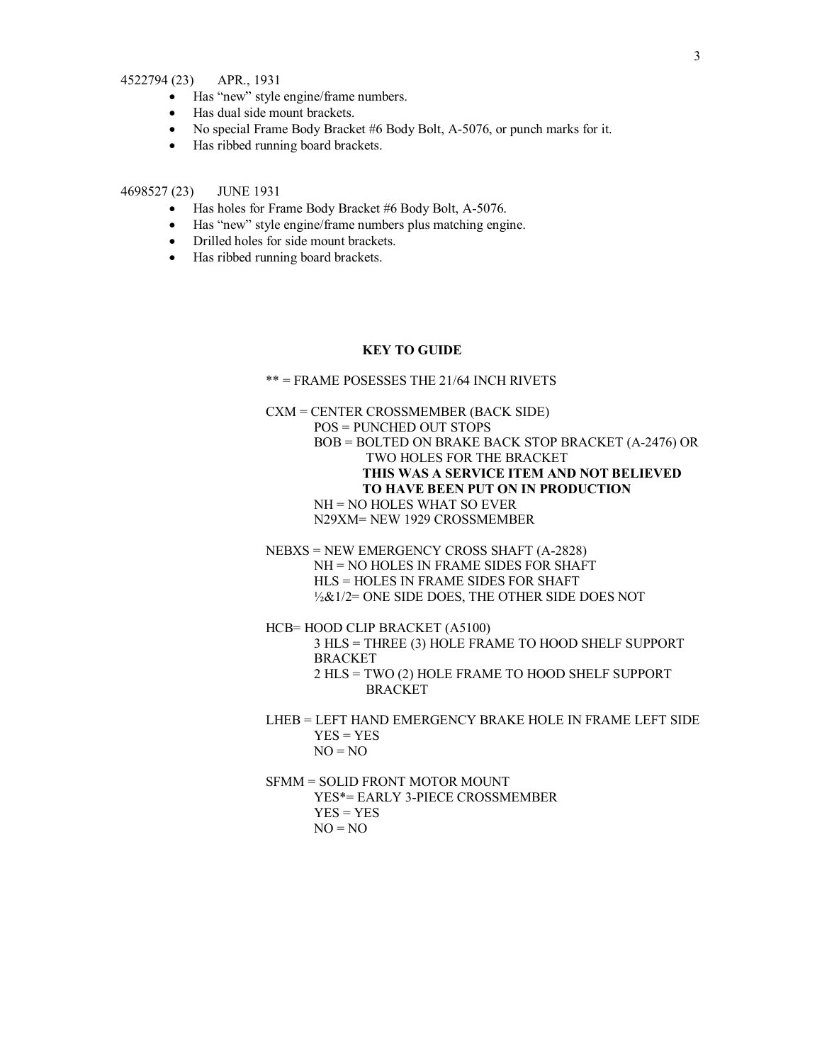### 4522794 (23) APR., 1931

- · Has "new" style engine/frame numbers.
- · Has dual side mount brackets.
- · No special Frame Body Bracket #6 Body Bolt, A-5076, or punch marks for it.
- · Has ribbed running board brackets.

### 4698527 (23) JUNE 1931

- · Has holes for Frame Body Bracket #6 Body Bolt, A-5076.
- · Has "new" style engine/frame numbers plus matching engine.
- · Drilled holes for side mount brackets.
- · Has ribbed running board brackets.

### **KEY TO GUIDE**

\*\* = FRAME POSESSES THE 21/64 INCH RIVETS

CXM = CENTER CROSSMEMBER (BACK SIDE) POS = PUNCHED OUT STOPS BOB = BOLTED ON BRAKE BACK STOP BRACKET (A-2476) OR TWO HOLES FOR THE BRACKET **THIS WAS A SERVICE ITEM AND NOT BELIEVED TO HAVE BEEN PUT ON IN PRODUCTION**  NH = NO HOLES WHAT SO EVER N29XM= NEW 1929 CROSSMEMBER

NEBXS = NEW EMERGENCY CROSS SHAFT (A-2828) NH = NO HOLES IN FRAME SIDES FOR SHAFT HLS = HOLES IN FRAME SIDES FOR SHAFT ½&1/2= ONE SIDE DOES, THE OTHER SIDE DOES NOT

HCB= HOOD CLIP BRACKET (A5100)

3 HLS = THREE (3) HOLE FRAME TO HOOD SHELF SUPPORT BRACKET

2 HLS = TWO (2) HOLE FRAME TO HOOD SHELF SUPPORT BRACKET

LHEB = LEFT HAND EMERGENCY BRAKE HOLE IN FRAME LEFT SIDE  $YES = YES$  $NO = NO$ 

SFMM = SOLID FRONT MOTOR MOUNT

YES\*= EARLY 3-PIECE CROSSMEMBER  $YES = YES$  $NO = NO$